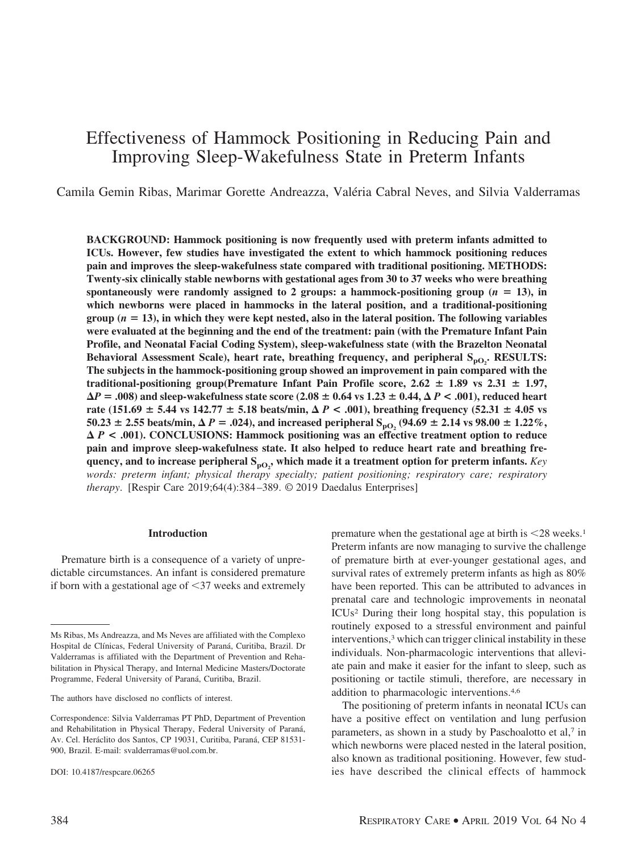# Effectiveness of Hammock Positioning in Reducing Pain and Improving Sleep-Wakefulness State in Preterm Infants

Camila Gemin Ribas, Marimar Gorette Andreazza, Valéria Cabral Neves, and Silvia Valderramas

**BACKGROUND: Hammock positioning is now frequently used with preterm infants admitted to ICUs. However, few studies have investigated the extent to which hammock positioning reduces pain and improves the sleep-wakefulness state compared with traditional positioning. METHODS: Twenty-six clinically stable newborns with gestational ages from 30 to 37 weeks who were breathing** spontaneously were randomly assigned to 2 groups: a hammock-positioning group  $(n = 13)$ , in **which newborns were placed in hammocks in the lateral position, and a traditional-positioning**  $\text{group } (n = 13)$ , in which they were kept nested, also in the lateral position. The following variables **were evaluated at the beginning and the end of the treatment: pain (with the Premature Infant Pain Profile, and Neonatal Facial Coding System), sleep-wakefulness state (with the Brazelton Neonatal** Behavioral Assessment Scale), heart rate, breathing frequency, and peripheral S<sub>pO2</sub>. RESULTS: **The subjects in the hammock-positioning group showed an improvement in pain compared with the traditional-positioning group(Premature Infant Pain Profile score,**  $2.62 \pm 1.89$  **vs**  $2.31 \pm 1.97$ **,**  $\Delta P =$  **.008)** and sleep-wakefulness state score (2.08  $\pm$  0.64 vs 1.23  $\pm$  0.44,  $\Delta$   $P$  <  $\cdot$  .001), reduced heart **rate** (151.69  $\pm$  5.44 vs 142.77  $\pm$  5.18 beats/min,  $\Delta$  *P* < .001), breathing frequency (52.31  $\pm$  4.05 vs  $50.23 \pm 2.55$  beats/min,  $\Delta P = .024$ ), and increased peripheral  $S_{pO_2}$  (94.69  $\pm$  2.14 vs 98.00  $\pm$  1.22%, *P* **< .001). CONCLUSIONS: Hammock positioning was an effective treatment option to reduce pain and improve sleep-wakefulness state. It also helped to reduce heart rate and breathing fre**quency, and to increase peripheral  $\mathbf{S_{po_2}}$ , which made it a treatment option for preterm infants. *Key words: preterm infant; physical therapy specialty; patient positioning; respiratory care; respiratory therapy*. [Respir Care 2019;64(4):384 –389. © 2019 Daedalus Enterprises]

#### **Introduction**

Premature birth is a consequence of a variety of unpredictable circumstances. An infant is considered premature if born with a gestational age of  $\leq$ 37 weeks and extremely

premature when the gestational age at birth is  $\leq 28$  weeks.<sup>1</sup> Preterm infants are now managing to survive the challenge of premature birth at ever-younger gestational ages, and survival rates of extremely preterm infants as high as 80% have been reported. This can be attributed to advances in prenatal care and technologic improvements in neonatal ICUs2 During their long hospital stay, this population is routinely exposed to a stressful environment and painful interventions,<sup>3</sup> which can trigger clinical instability in these individuals. Non-pharmacologic interventions that alleviate pain and make it easier for the infant to sleep, such as positioning or tactile stimuli, therefore, are necessary in addition to pharmacologic interventions.4,6

The positioning of preterm infants in neonatal ICUs can have a positive effect on ventilation and lung perfusion parameters, as shown in a study by Paschoalotto et al,7 in which newborns were placed nested in the lateral position, also known as traditional positioning. However, few studies have described the clinical effects of hammock

Ms Ribas, Ms Andreazza, and Ms Neves are affiliated with the Complexo Hospital de Clínicas, Federal University of Paraná, Curitiba, Brazil. Dr Valderramas is affiliated with the Department of Prevention and Rehabilitation in Physical Therapy, and Internal Medicine Masters/Doctorate Programme, Federal University of Paraná, Curitiba, Brazil.

The authors have disclosed no conflicts of interest.

Correspondence: Silvia Valderramas PT PhD, Department of Prevention and Rehabilitation in Physical Therapy, Federal University of Paraná, Av. Cel. Heráclito dos Santos, CP 19031, Curitiba, Paraná, CEP 81531-900, Brazil. E-mail: svalderramas@uol.com.br.

DOI: 10.4187/respcare.06265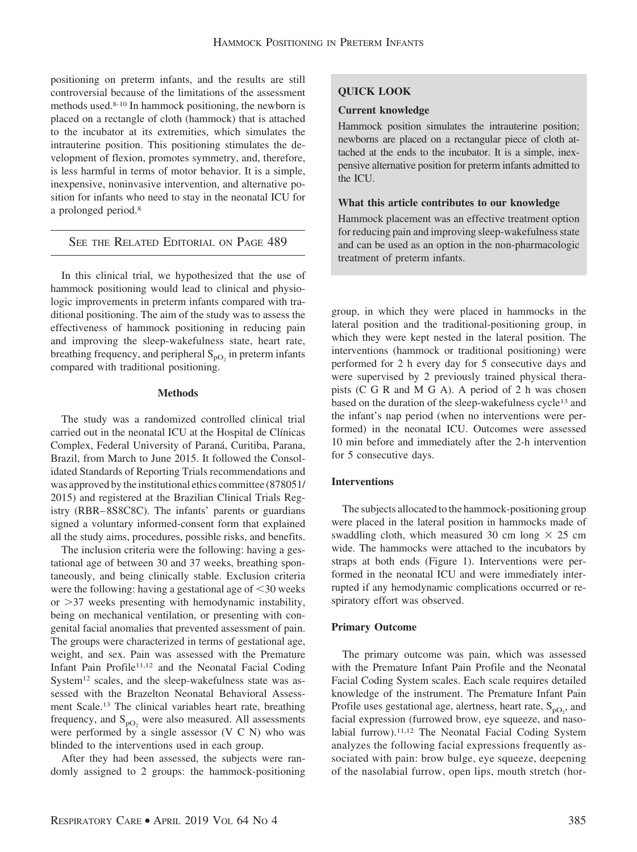positioning on preterm infants, and the results are still controversial because of the limitations of the assessment methods used.8-10 In hammock positioning, the newborn is placed on a rectangle of cloth (hammock) that is attached to the incubator at its extremities, which simulates the intrauterine position. This positioning stimulates the development of flexion, promotes symmetry, and, therefore, is less harmful in terms of motor behavior. It is a simple, inexpensive, noninvasive intervention, and alternative position for infants who need to stay in the neonatal ICU for a prolonged period.8

# SEE THE RELATED EDITORIAL ON PAGE 489

In this clinical trial, we hypothesized that the use of hammock positioning would lead to clinical and physiologic improvements in preterm infants compared with traditional positioning. The aim of the study was to assess the effectiveness of hammock positioning in reducing pain and improving the sleep-wakefulness state, heart rate, breathing frequency, and peripheral  $S_{pQ_2}$  in preterm infants compared with traditional positioning.

## **Methods**

The study was a randomized controlled clinical trial carried out in the neonatal ICU at the Hospital de Clínicas Complex, Federal University of Paraná, Curitiba, Parana, Brazil, from March to June 2015. It followed the Consolidated Standards of Reporting Trials recommendations and was approved by the institutional ethics committee (878051/ 2015) and registered at the Brazilian Clinical Trials Registry (RBR– 8S8C8C). The infants' parents or guardians signed a voluntary informed-consent form that explained all the study aims, procedures, possible risks, and benefits.

The inclusion criteria were the following: having a gestational age of between 30 and 37 weeks, breathing spontaneously, and being clinically stable. Exclusion criteria were the following: having a gestational age of  $\leq$  30 weeks or  $>37$  weeks presenting with hemodynamic instability, being on mechanical ventilation, or presenting with congenital facial anomalies that prevented assessment of pain. The groups were characterized in terms of gestational age, weight, and sex. Pain was assessed with the Premature Infant Pain Profile<sup>11,12</sup> and the Neonatal Facial Coding System12 scales, and the sleep-wakefulness state was assessed with the Brazelton Neonatal Behavioral Assessment Scale.13 The clinical variables heart rate, breathing frequency, and  $S_{pO_2}$  were also measured. All assessments were performed by a single assessor (V C N) who was blinded to the interventions used in each group.

After they had been assessed, the subjects were randomly assigned to 2 groups: the hammock-positioning

# **QUICK LOOK**

## **Current knowledge**

Hammock position simulates the intrauterine position; newborns are placed on a rectangular piece of cloth attached at the ends to the incubator. It is a simple, inexpensive alternative position for preterm infants admitted to the ICU.

# **What this article contributes to our knowledge**

Hammock placement was an effective treatment option for reducing pain and improving sleep-wakefulness state and can be used as an option in the non-pharmacologic treatment of preterm infants.

group, in which they were placed in hammocks in the lateral position and the traditional-positioning group, in which they were kept nested in the lateral position. The interventions (hammock or traditional positioning) were performed for 2 h every day for 5 consecutive days and were supervised by 2 previously trained physical therapists (C G R and M G A). A period of 2 h was chosen based on the duration of the sleep-wakefulness cycle13 and the infant's nap period (when no interventions were performed) in the neonatal ICU. Outcomes were assessed 10 min before and immediately after the 2-h intervention for 5 consecutive days.

# **Interventions**

The subjects allocated to the hammock-positioning group were placed in the lateral position in hammocks made of swaddling cloth, which measured 30 cm long  $\times$  25 cm wide. The hammocks were attached to the incubators by straps at both ends (Figure 1). Interventions were performed in the neonatal ICU and were immediately interrupted if any hemodynamic complications occurred or respiratory effort was observed.

# **Primary Outcome**

The primary outcome was pain, which was assessed with the Premature Infant Pain Profile and the Neonatal Facial Coding System scales. Each scale requires detailed knowledge of the instrument. The Premature Infant Pain Profile uses gestational age, alertness, heart rate,  $S_{pO_2}$ , and facial expression (furrowed brow, eye squeeze, and nasolabial furrow).11,12 The Neonatal Facial Coding System analyzes the following facial expressions frequently associated with pain: brow bulge, eye squeeze, deepening of the nasolabial furrow, open lips, mouth stretch (hor-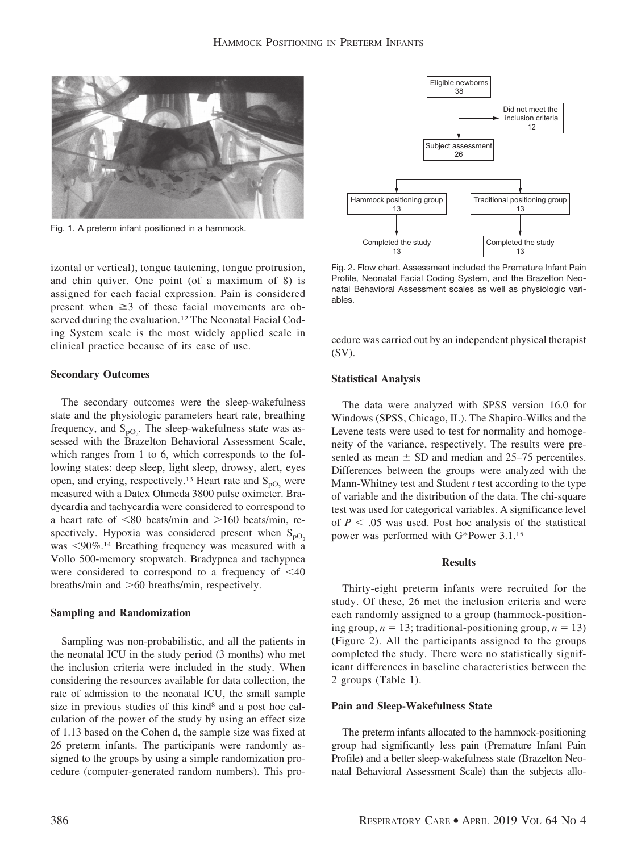

Fig. 1. A preterm infant positioned in a hammock.

izontal or vertical), tongue tautening, tongue protrusion, and chin quiver. One point (of a maximum of 8) is assigned for each facial expression. Pain is considered present when  $\geq$ 3 of these facial movements are observed during the evaluation.<sup>12</sup> The Neonatal Facial Coding System scale is the most widely applied scale in clinical practice because of its ease of use.

#### **Secondary Outcomes**

The secondary outcomes were the sleep-wakefulness state and the physiologic parameters heart rate, breathing frequency, and  $S_{pQ_2}$ . The sleep-wakefulness state was assessed with the Brazelton Behavioral Assessment Scale, which ranges from 1 to 6, which corresponds to the following states: deep sleep, light sleep, drowsy, alert, eyes open, and crying, respectively.<sup>13</sup> Heart rate and  $S_{pQ}$  were measured with a Datex Ohmeda 3800 pulse oximeter. Bradycardia and tachycardia were considered to correspond to a heart rate of  $\leq 80$  beats/min and  $> 160$  beats/min, respectively. Hypoxia was considered present when  $S_{pQ_2}$ was <90%.<sup>14</sup> Breathing frequency was measured with a Vollo 500-memory stopwatch. Bradypnea and tachypnea were considered to correspond to a frequency of  $\leq 40$ breaths/min and  $>60$  breaths/min, respectively.

#### **Sampling and Randomization**

Sampling was non-probabilistic, and all the patients in the neonatal ICU in the study period (3 months) who met the inclusion criteria were included in the study. When considering the resources available for data collection, the rate of admission to the neonatal ICU, the small sample size in previous studies of this kind<sup>8</sup> and a post hoc calculation of the power of the study by using an effect size of 1.13 based on the Cohen d, the sample size was fixed at 26 preterm infants. The participants were randomly assigned to the groups by using a simple randomization procedure (computer-generated random numbers). This pro-



Fig. 2. Flow chart. Assessment included the Premature Infant Pain Profile, Neonatal Facial Coding System, and the Brazelton Neonatal Behavioral Assessment scales as well as physiologic variables.

cedure was carried out by an independent physical therapist (SV).

#### **Statistical Analysis**

The data were analyzed with SPSS version 16.0 for Windows (SPSS, Chicago, IL). The Shapiro-Wilks and the Levene tests were used to test for normality and homogeneity of the variance, respectively. The results were presented as mean  $\pm$  SD and median and 25–75 percentiles. Differences between the groups were analyzed with the Mann-Whitney test and Student *t* test according to the type of variable and the distribution of the data. The chi-square test was used for categorical variables. A significance level of  $P < 0.05$  was used. Post hoc analysis of the statistical power was performed with G\*Power 3.1.15

## **Results**

Thirty-eight preterm infants were recruited for the study. Of these, 26 met the inclusion criteria and were each randomly assigned to a group (hammock-positioning group,  $n = 13$ ; traditional-positioning group,  $n = 13$ ) (Figure 2). All the participants assigned to the groups completed the study. There were no statistically significant differences in baseline characteristics between the 2 groups (Table 1).

#### **Pain and Sleep-Wakefulness State**

The preterm infants allocated to the hammock-positioning group had significantly less pain (Premature Infant Pain Profile) and a better sleep-wakefulness state (Brazelton Neonatal Behavioral Assessment Scale) than the subjects allo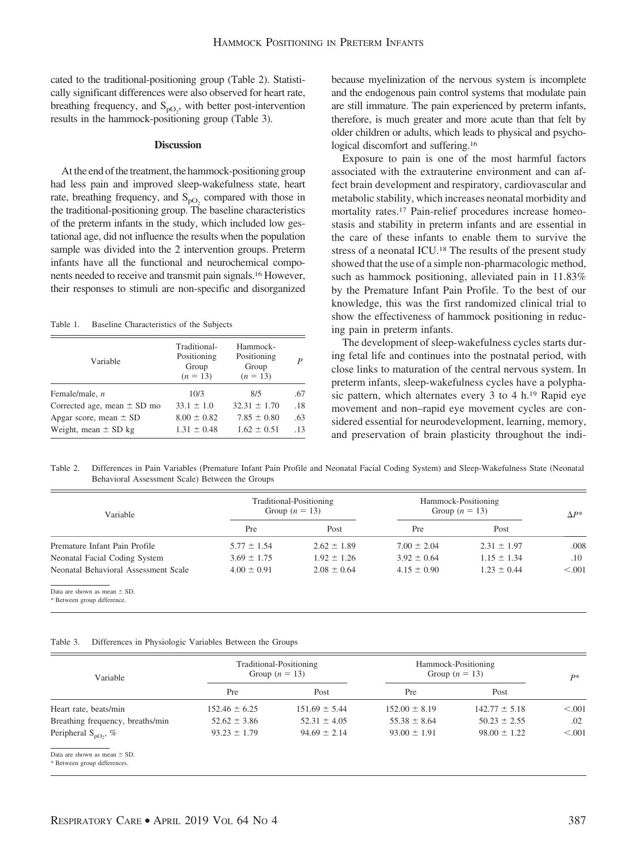cated to the traditional-positioning group (Table 2). Statistically significant differences were also observed for heart rate, breathing frequency, and  $S_{pQ_2}$ , with better post-intervention results in the hammock-positioning group (Table 3).

#### **Discussion**

At the end of the treatment, the hammock-positioning group had less pain and improved sleep-wakefulness state, heart rate, breathing frequency, and  $S_{pO_2}$  compared with those in the traditional-positioning group. The baseline characteristics of the preterm infants in the study, which included low gestational age, did not influence the results when the population sample was divided into the 2 intervention groups. Preterm infants have all the functional and neurochemical components needed to receive and transmit pain signals.16 However, their responses to stimuli are non-specific and disorganized

Table 1. Baseline Characteristics of the Subjects

| Variable                        | Traditional-<br>Positioning<br>Group<br>$(n = 13)$ | Hammock-<br>Positioning<br>Group<br>$(n = 13)$ | P   |
|---------------------------------|----------------------------------------------------|------------------------------------------------|-----|
| Female/male, $n$                | 10/3                                               | 8/5                                            | .67 |
| Corrected age, mean $\pm$ SD mo | $33.1 \pm 1.0$                                     | $32.31 \pm 1.70$                               | .18 |
| Apgar score, mean $\pm$ SD      | $8.00 \pm 0.82$                                    | $7.85 \pm 0.80$                                | .63 |
| Weight, mean $\pm$ SD kg        | $1.31 \pm 0.48$                                    | $1.62 \pm 0.51$                                | .13 |

because myelinization of the nervous system is incomplete and the endogenous pain control systems that modulate pain are still immature. The pain experienced by preterm infants, therefore, is much greater and more acute than that felt by older children or adults, which leads to physical and psychological discomfort and suffering.16

Exposure to pain is one of the most harmful factors associated with the extrauterine environment and can affect brain development and respiratory, cardiovascular and metabolic stability, which increases neonatal morbidity and mortality rates.17 Pain-relief procedures increase homeostasis and stability in preterm infants and are essential in the care of these infants to enable them to survive the stress of a neonatal ICU.18 The results of the present study showed that the use of a simple non-pharmacologic method, such as hammock positioning, alleviated pain in 11.83% by the Premature Infant Pain Profile. To the best of our knowledge, this was the first randomized clinical trial to show the effectiveness of hammock positioning in reducing pain in preterm infants.

The development of sleep-wakefulness cycles starts during fetal life and continues into the postnatal period, with close links to maturation of the central nervous system. In preterm infants, sleep-wakefulness cycles have a polyphasic pattern, which alternates every 3 to 4 h.19 Rapid eye movement and non–rapid eye movement cycles are considered essential for neurodevelopment, learning, memory, and preservation of brain plasticity throughout the indi-

Table 2. Differences in Pain Variables (Premature Infant Pain Profile and Neonatal Facial Coding System) and Sleep-Wakefulness State (Neonatal Behavioral Assessment Scale) Between the Groups

| Variable                             | Traditional-Positioning<br>Group $(n = 13)$ |                 | Hammock-Positioning<br>Group $(n = 13)$ |                 | $\Lambda P^*$ |
|--------------------------------------|---------------------------------------------|-----------------|-----------------------------------------|-----------------|---------------|
|                                      | Pre                                         | Post            | Pre                                     | Post            |               |
| Premature Infant Pain Profile        | $5.77 \pm 1.54$                             | $2.62 \pm 1.89$ | $7.00 \pm 2.04$                         | $2.31 \pm 1.97$ | .008          |
| Neonatal Facial Coding System        | $3.69 \pm 1.75$                             | $1.92 \pm 1.26$ | $3.92 \pm 0.64$                         | $1.15 \pm 1.34$ | $.10\,$       |
| Neonatal Behavioral Assessment Scale | $4.00 \pm 0.91$                             | $2.08 \pm 0.64$ | $4.15 \pm 0.90$                         | $1.23 \pm 0.44$ | < 0.001       |
| Data and decision as access of CD.   |                                             |                 |                                         |                 |               |

Data are shown as mean  $\pm$  SD

\* Between group difference.

#### Table 3. Differences in Physiologic Variables Between the Groups

| Variable                                                         | Traditional-Positioning<br>Group $(n = 13)$ |                   | Hammock-Positioning<br>Group $(n = 13)$ |                   | $P*$    |
|------------------------------------------------------------------|---------------------------------------------|-------------------|-----------------------------------------|-------------------|---------|
|                                                                  | Pre                                         | Post              | Pre                                     | Post              |         |
| Heart rate, beats/min                                            | $152.46 \pm 6.25$                           | $151.69 \pm 5.44$ | $152.00 \pm 8.19$                       | $142.77 \pm 5.18$ | < 0.001 |
| Breathing frequency, breaths/min                                 | $52.62 \pm 3.86$                            | $52.31 \pm 4.05$  | $55.38 \pm 8.64$                        | $50.23 \pm 2.55$  | .02     |
| Peripheral $S_{nO_2}$ , %                                        | $93.23 \pm 1.79$                            | $94.69 \pm 2.14$  | $93.00 \pm 1.91$                        | $98.00 \pm 1.22$  | < 0.001 |
| Data are shown as mean $\pm$ SD.<br>* Between group differences. |                                             |                   |                                         |                   |         |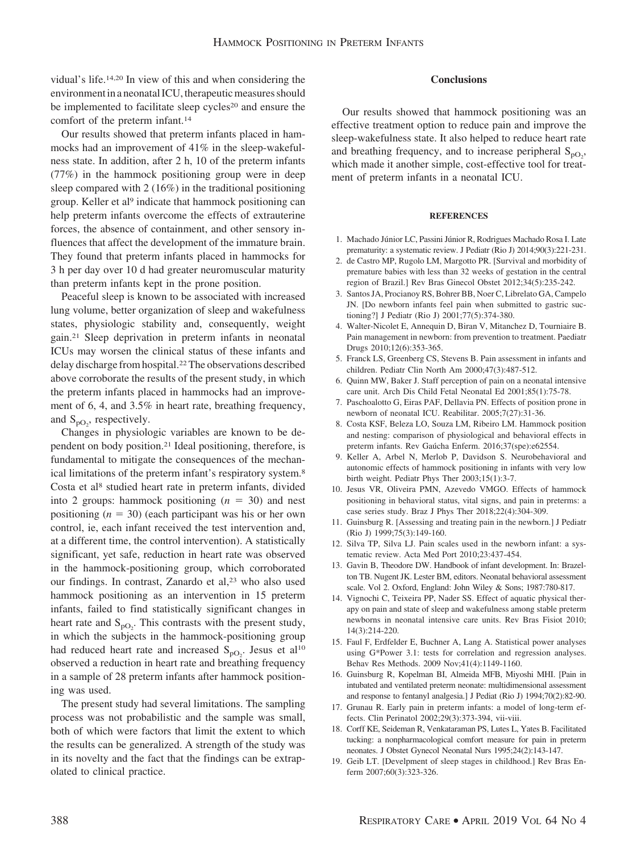vidual's life.14,20 In view of this and when considering the environment in a neonatal ICU, therapeutic measures should be implemented to facilitate sleep cycles<sup>20</sup> and ensure the comfort of the preterm infant.14

Our results showed that preterm infants placed in hammocks had an improvement of 41% in the sleep-wakefulness state. In addition, after 2 h, 10 of the preterm infants (77%) in the hammock positioning group were in deep sleep compared with 2 (16%) in the traditional positioning group. Keller et al<sup>9</sup> indicate that hammock positioning can help preterm infants overcome the effects of extrauterine forces, the absence of containment, and other sensory influences that affect the development of the immature brain. They found that preterm infants placed in hammocks for 3 h per day over 10 d had greater neuromuscular maturity than preterm infants kept in the prone position.

Peaceful sleep is known to be associated with increased lung volume, better organization of sleep and wakefulness states, physiologic stability and, consequently, weight gain.21 Sleep deprivation in preterm infants in neonatal ICUs may worsen the clinical status of these infants and delay discharge from hospital.22The observations described above corroborate the results of the present study, in which the preterm infants placed in hammocks had an improvement of 6, 4, and 3.5% in heart rate, breathing frequency, and  $S_{pO_2}$ , respectively.

Changes in physiologic variables are known to be dependent on body position.21 Ideal positioning, therefore, is fundamental to mitigate the consequences of the mechanical limitations of the preterm infant's respiratory system.8 Costa et al8 studied heart rate in preterm infants, divided into 2 groups: hammock positioning  $(n = 30)$  and nest positioning  $(n = 30)$  (each participant was his or her own control, ie, each infant received the test intervention and, at a different time, the control intervention). A statistically significant, yet safe, reduction in heart rate was observed in the hammock-positioning group, which corroborated our findings. In contrast, Zanardo et al,<sup>23</sup> who also used hammock positioning as an intervention in 15 preterm infants, failed to find statistically significant changes in heart rate and  $S_{pQ_2}$ . This contrasts with the present study, in which the subjects in the hammock-positioning group had reduced heart rate and increased  $S_{pQ_2}$ . Jesus et al<sup>10</sup> observed a reduction in heart rate and breathing frequency in a sample of 28 preterm infants after hammock positioning was used.

The present study had several limitations. The sampling process was not probabilistic and the sample was small, both of which were factors that limit the extent to which the results can be generalized. A strength of the study was in its novelty and the fact that the findings can be extrapolated to clinical practice.

# **Conclusions**

Our results showed that hammock positioning was an effective treatment option to reduce pain and improve the sleep-wakefulness state. It also helped to reduce heart rate and breathing frequency, and to increase peripheral  $S_{pO_2}$ , which made it another simple, cost-effective tool for treatment of preterm infants in a neonatal ICU.

#### **REFERENCES**

- 1. Machado Júnior LC, Passini Júnior R, Rodrigues Machado Rosa I. Late prematurity: a systematic review. J Pediatr (Rio J) 2014;90(3):221-231.
- 2. de Castro MP, Rugolo LM, Margotto PR. [Survival and morbidity of premature babies with less than 32 weeks of gestation in the central region of Brazil.] Rev Bras Ginecol Obstet 2012;34(5):235-242.
- 3. Santos JA, Procianoy RS, Bohrer BB, Noer C, Librelato GA, Campelo JN. [Do newborn infants feel pain when submitted to gastric suctioning?] J Pediatr (Rio J) 2001;77(5):374-380.
- 4. Walter-Nicolet E, Annequin D, Biran V, Mitanchez D, Tourniaire B. Pain management in newborn: from prevention to treatment. Paediatr Drugs 2010;12(6):353-365.
- 5. Franck LS, Greenberg CS, Stevens B. Pain assessment in infants and children. Pediatr Clin North Am 2000;47(3):487-512.
- 6. Quinn MW, Baker J. Staff perception of pain on a neonatal intensive care unit. Arch Dis Child Fetal Neonatal Ed 2001;85(1):75-78.
- 7. Paschoalotto G, Eiras PAF, Dellavia PN. Effects of position prone in newborn of neonatal ICU. Reabilitar. 2005;7(27):31-36.
- 8. Costa KSF, Beleza LO, Souza LM, Ribeiro LM. Hammock position and nesting: comparison of physiological and behavioral effects in preterm infants. Rev Gaúcha Enferm. 2016;37(spe):e62554.
- 9. Keller A, Arbel N, Merlob P, Davidson S. Neurobehavioral and autonomic effects of hammock positioning in infants with very low birth weight. Pediatr Phys Ther 2003;15(1):3-7.
- 10. Jesus VR, Oliveira PMN, Azevedo VMGO. Effects of hammock positioning in behavioral status, vital signs, and pain in preterms: a case series study. Braz J Phys Ther 2018;22(4):304-309.
- 11. Guinsburg R. [Assessing and treating pain in the newborn.] J Pediatr (Rio J) 1999;75(3):149-160.
- 12. Silva TP, Silva LJ. Pain scales used in the newborn infant: a systematic review. Acta Med Port 2010;23:437-454.
- 13. Gavin B, Theodore DW. Handbook of infant development. In: Brazelton TB. Nugent JK. Lester BM, editors. Neonatal behavioral assessment scale. Vol 2. Oxford, England: John Wiley & Sons; 1987:780-817.
- 14. Vignochi C, Teixeira PP, Nader SS. Effect of aquatic physical therapy on pain and state of sleep and wakefulness among stable preterm newborns in neonatal intensive care units. Rev Bras Fisiot 2010; 14(3):214-220.
- 15. Faul F, Erdfelder E, Buchner A, Lang A. Statistical power analyses using G\*Power 3.1: tests for correlation and regression analyses. Behav Res Methods. 2009 Nov;41(4):1149-1160.
- 16. Guinsburg R, Kopelman BI, Almeida MFB, Miyoshi MHI. [Pain in intubated and ventilated preterm neonate: multidimensional assessment and response to fentanyl analgesia.] J Pediat (Rio J) 1994;70(2):82-90.
- 17. Grunau R. Early pain in preterm infants: a model of long-term effects. Clin Perinatol 2002;29(3):373-394, vii-viii.
- 18. Corff KE, Seideman R, Venkataraman PS, Lutes L, Yates B. Facilitated tucking: a nonpharmacological comfort measure for pain in preterm neonates. J Obstet Gynecol Neonatal Nurs 1995;24(2):143-147.
- 19. Geib LT. [Develpment of sleep stages in childhood.] Rev Bras Enferm 2007;60(3):323-326.